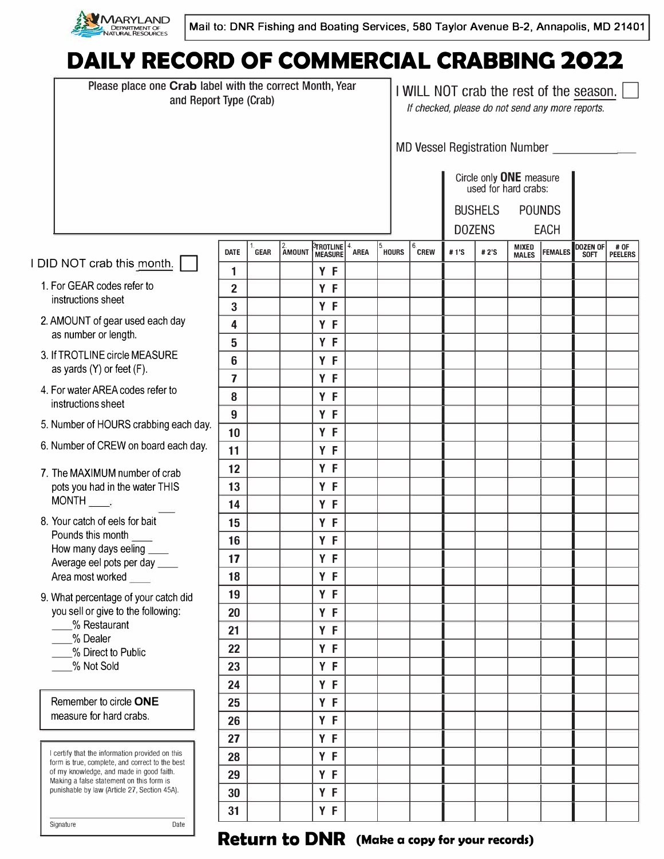

# **DAILY RECORD OF COMMERCIAL CRABBING 2022**

|                                                                                                    | Please place one Crab label with the correct Month, Year<br>and Report Type (Crab)                                                                                                                                                         |                         |             |              |                                                                      |             |              | I WILL NOT crab the rest of the season.<br>If checked, please do not send any more reports. |      |      |                       |                |                         |                        |  |
|----------------------------------------------------------------------------------------------------|--------------------------------------------------------------------------------------------------------------------------------------------------------------------------------------------------------------------------------------------|-------------------------|-------------|--------------|----------------------------------------------------------------------|-------------|--------------|---------------------------------------------------------------------------------------------|------|------|-----------------------|----------------|-------------------------|------------------------|--|
|                                                                                                    |                                                                                                                                                                                                                                            |                         |             |              |                                                                      |             |              | MD Vessel Registration Number                                                               |      |      |                       |                |                         |                        |  |
|                                                                                                    |                                                                                                                                                                                                                                            |                         |             |              |                                                                      |             |              | Circle only ONE measure<br>used for hard crabs:                                             |      |      |                       |                |                         |                        |  |
|                                                                                                    |                                                                                                                                                                                                                                            |                         |             |              |                                                                      |             |              | <b>BUSHELS</b><br><b>POUNDS</b>                                                             |      |      |                       |                |                         |                        |  |
|                                                                                                    |                                                                                                                                                                                                                                            |                         |             |              |                                                                      |             |              | <b>DOZENS</b><br><b>EACH</b>                                                                |      |      |                       |                |                         |                        |  |
| DID NOT crab this month.                                                                           |                                                                                                                                                                                                                                            | <b>DATE</b><br>1        | <b>GEAR</b> | 2.<br>Amount | <b><sup>3</sup>TROTLINE   <sup>4.</sup></b><br><b>MEASURE</b><br>Y F | <b>AREA</b> | <b>HOURS</b> | 6.<br><b>CREW</b>                                                                           | #1'S | #2'S | MIXED<br><b>MALES</b> | <b>FEMALES</b> | DOZEN OF<br><b>SOFT</b> | # OF<br><b>PEELERS</b> |  |
|                                                                                                    | 1. For GEAR codes refer to<br>instructions sheet                                                                                                                                                                                           | $\overline{2}$          |             |              | Y F                                                                  |             |              |                                                                                             |      |      |                       |                |                         |                        |  |
|                                                                                                    |                                                                                                                                                                                                                                            | 3                       |             |              | Y F                                                                  |             |              |                                                                                             |      |      |                       |                |                         |                        |  |
|                                                                                                    | 2. AMOUNT of gear used each day                                                                                                                                                                                                            | 4                       |             |              | Y F                                                                  |             |              |                                                                                             |      |      |                       |                |                         |                        |  |
| as number or length.                                                                               |                                                                                                                                                                                                                                            | 5                       |             |              | Y F                                                                  |             |              |                                                                                             |      |      |                       |                |                         |                        |  |
|                                                                                                    | 3. If TROTLINE circle MEASURE                                                                                                                                                                                                              | 6                       |             |              | Y F                                                                  |             |              |                                                                                             |      |      |                       |                |                         |                        |  |
| as yards $(Y)$ or feet $(F)$ .                                                                     |                                                                                                                                                                                                                                            | $\overline{\mathbf{z}}$ |             |              | Y F                                                                  |             |              |                                                                                             |      |      |                       |                |                         |                        |  |
|                                                                                                    | 4. For water AREA codes refer to<br>instructions sheet                                                                                                                                                                                     | 8                       |             |              | Y F                                                                  |             |              |                                                                                             |      |      |                       |                |                         |                        |  |
|                                                                                                    |                                                                                                                                                                                                                                            | 9                       |             |              | Y F                                                                  |             |              |                                                                                             |      |      |                       |                |                         |                        |  |
| 5. Number of HOURS crabbing each day.                                                              |                                                                                                                                                                                                                                            | 10                      |             |              | Y F                                                                  |             |              |                                                                                             |      |      |                       |                |                         |                        |  |
|                                                                                                    | 6. Number of CREW on board each day.                                                                                                                                                                                                       |                         |             |              | Y F                                                                  |             |              |                                                                                             |      |      |                       |                |                         |                        |  |
|                                                                                                    | 7. The MAXIMUM number of crab                                                                                                                                                                                                              | 12                      |             |              | Y F                                                                  |             |              |                                                                                             |      |      |                       |                |                         |                        |  |
|                                                                                                    | pots you had in the water THIS                                                                                                                                                                                                             | 13                      |             |              | Y F                                                                  |             |              |                                                                                             |      |      |                       |                |                         |                        |  |
|                                                                                                    | $MONTH$ <sub>.</sub>                                                                                                                                                                                                                       | 14                      |             |              | Y F                                                                  |             |              |                                                                                             |      |      |                       |                |                         |                        |  |
|                                                                                                    | 8. Your catch of eels for bait<br>Pounds this month<br>How many days eeling<br>Average eel pots per day ____<br>Area most worked                                                                                                           | 15                      |             |              | Y F                                                                  |             |              |                                                                                             |      |      |                       |                |                         |                        |  |
|                                                                                                    |                                                                                                                                                                                                                                            | 16                      |             |              | Y F                                                                  |             |              |                                                                                             |      |      |                       |                |                         |                        |  |
|                                                                                                    |                                                                                                                                                                                                                                            | 17                      |             |              | Y F                                                                  |             |              |                                                                                             |      |      |                       |                |                         |                        |  |
|                                                                                                    |                                                                                                                                                                                                                                            | 18                      |             |              | Y F                                                                  |             |              |                                                                                             |      |      |                       |                |                         |                        |  |
|                                                                                                    | 9. What percentage of your catch did                                                                                                                                                                                                       | 19                      |             |              | Y F                                                                  |             |              |                                                                                             |      |      |                       |                |                         |                        |  |
| you sell or give to the following:<br>% Restaurant<br>% Dealer<br>% Direct to Public<br>% Not Sold |                                                                                                                                                                                                                                            | 20                      |             |              | Y F                                                                  |             |              |                                                                                             |      |      |                       |                |                         |                        |  |
|                                                                                                    |                                                                                                                                                                                                                                            | 21                      |             |              | Y F                                                                  |             |              |                                                                                             |      |      |                       |                |                         |                        |  |
|                                                                                                    |                                                                                                                                                                                                                                            | 22<br>23                |             |              | Y F<br>Y F                                                           |             |              |                                                                                             |      |      |                       |                |                         |                        |  |
|                                                                                                    |                                                                                                                                                                                                                                            | 24                      |             |              | Y F                                                                  |             |              |                                                                                             |      |      |                       |                |                         |                        |  |
|                                                                                                    | Remember to circle ONE                                                                                                                                                                                                                     | 25                      |             |              | Y F                                                                  |             |              |                                                                                             |      |      |                       |                |                         |                        |  |
|                                                                                                    | measure for hard crabs.                                                                                                                                                                                                                    | 26                      |             |              | Y F                                                                  |             |              |                                                                                             |      |      |                       |                |                         |                        |  |
|                                                                                                    |                                                                                                                                                                                                                                            | 27                      |             |              | Y F                                                                  |             |              |                                                                                             |      |      |                       |                |                         |                        |  |
|                                                                                                    | I certify that the information provided on this<br>form is true, complete, and correct to the best<br>of my knowledge, and made in good faith.<br>Making a false statement on this form is<br>punishable by law (Article 27, Section 45A). | 28                      |             |              | Y F                                                                  |             |              |                                                                                             |      |      |                       |                |                         |                        |  |
|                                                                                                    |                                                                                                                                                                                                                                            | 29                      |             |              | Y F                                                                  |             |              |                                                                                             |      |      |                       |                |                         |                        |  |
|                                                                                                    |                                                                                                                                                                                                                                            | 30                      |             |              | Y F                                                                  |             |              |                                                                                             |      |      |                       |                |                         |                        |  |
|                                                                                                    |                                                                                                                                                                                                                                            | 31                      |             |              | Y F                                                                  |             |              |                                                                                             |      |      |                       |                |                         |                        |  |
|                                                                                                    | Signature<br>Date                                                                                                                                                                                                                          |                         |             |              |                                                                      |             |              |                                                                                             |      |      |                       |                |                         |                        |  |

### **Return to DNR** (Make a copy for your records)